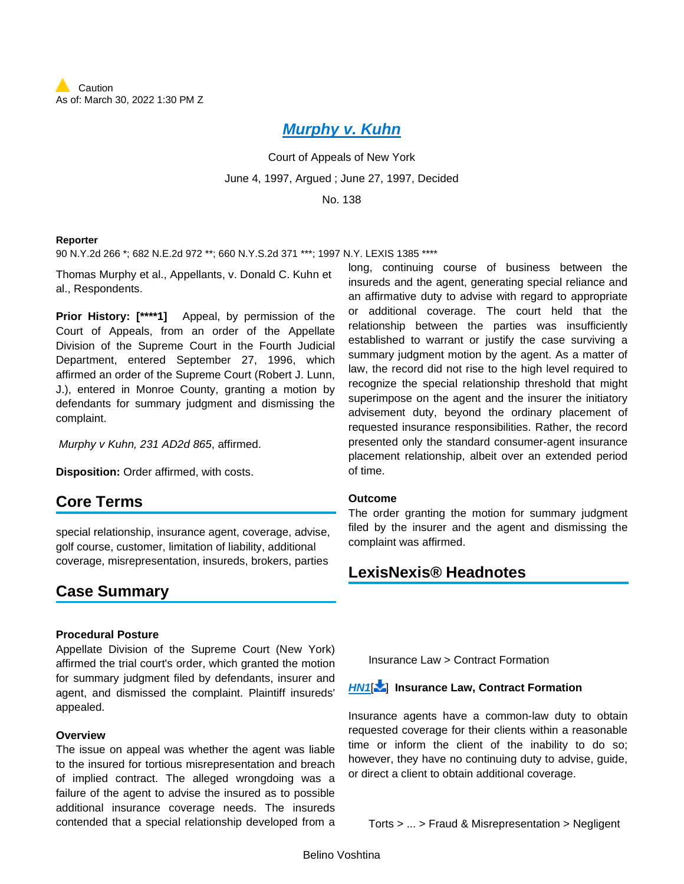

# *[Murphy v. Kuhn](https://advance.lexis.com/api/document?collection=cases&id=urn:contentItem:3RN8-0B50-003V-B4J1-00000-00&context=1000516)*

Court of Appeals of New York June 4, 1997, Argued ; June 27, 1997, Decided

No. 138

#### **Reporter**

90 N.Y.2d 266 \*; 682 N.E.2d 972 \*\*; 660 N.Y.S.2d 371 \*\*\*; 1997 N.Y. LEXIS 1385 \*\*\*\*

Thomas Murphy et al., Appellants, v. Donald C. Kuhn et al., Respondents.

**Prior History: [\*\*\*\*1]** Appeal, by permission of the Court of Appeals, from an order of the Appellate Division of the Supreme Court in the Fourth Judicial Department, entered September 27, 1996, which affirmed an order of the Supreme Court (Robert J. Lunn, J.), entered in Monroe County, granting a motion by defendants for summary judgment and dismissing the complaint.

*Murphy v Kuhn, 231 AD2d 865*, affirmed.

**Disposition:** Order affirmed, with costs.

# **Core Terms**

special relationship, insurance agent, coverage, advise, golf course, customer, limitation of liability, additional coverage, misrepresentation, insureds, brokers, parties

## **Case Summary**

#### **Procedural Posture**

Appellate Division of the Supreme Court (New York) affirmed the trial court's order, which granted the motion for summary judgment filed by defendants, insurer and agent, and dismissed the complaint. Plaintiff insureds' appealed.

#### **Overview**

The issue on appeal was whether the agent was liable to the insured for tortious misrepresentation and breach of implied contract. The alleged wrongdoing was a failure of the agent to advise the insured as to possible additional insurance coverage needs. The insureds contended that a special relationship developed from a long, continuing course of business between the insureds and the agent, generating special reliance and an affirmative duty to advise with regard to appropriate or additional coverage. The court held that the relationship between the parties was insufficiently established to warrant or justify the case surviving a summary judgment motion by the agent. As a matter of law, the record did not rise to the high level required to recognize the special relationship threshold that might superimpose on the agent and the insurer the initiatory advisement duty, beyond the ordinary placement of requested insurance responsibilities. Rather, the record presented only the standard consumer-agent insurance placement relationship, albeit over an extended period of time.

#### **Outcome**

The order granting the motion for summary judgment filed by the insurer and the agent and dismissing the complaint was affirmed.

## **LexisNexis® Headnotes**

<span id="page-0-0"></span>Insurance Law > Contract Formation

#### *[HN1](https://advance.lexis.com/api/document?collection=cases&id=urn:contentItem:3RN8-0B50-003V-B4J1-00000-00&context=1000516&link=LNHNREFclscc1)*[ [\]](#page-3-0) **Insurance Law, Contract Formation**

Insurance agents have a common-law duty to obtain requested coverage for their clients within a reasonable time or inform the client of the inability to do so; however, they have no continuing duty to advise, guide, or direct a client to obtain additional coverage.

<span id="page-0-1"></span>Torts > ... > Fraud & Misrepresentation > Negligent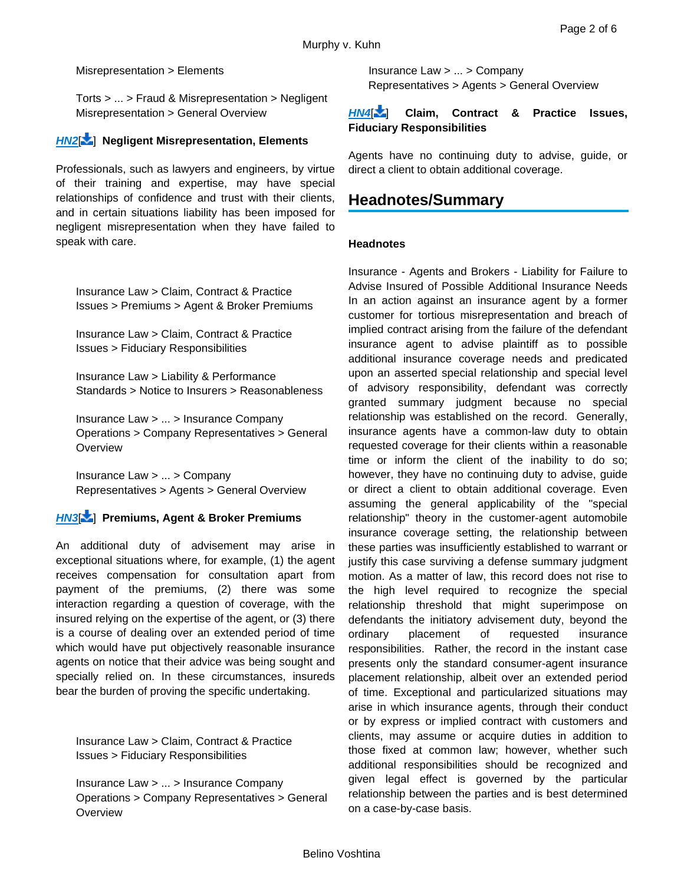Misrepresentation > Elements

Torts > ... > Fraud & Misrepresentation > Negligent Misrepresentation > General Overview

### *[HN2](https://advance.lexis.com/api/document?collection=cases&id=urn:contentItem:3RN8-0B50-003V-B4J1-00000-00&context=1000516&link=LNHNREFclscc2)*[ [\]](#page-3-1) **Negligent Misrepresentation, Elements**

Professionals, such as lawyers and engineers, by virtue of their training and expertise, may have special relationships of confidence and trust with their clients, and in certain situations liability has been imposed for negligent misrepresentation when they have failed to speak with care.

<span id="page-1-0"></span>Insurance Law > Claim, Contract & Practice Issues > Premiums > Agent & Broker Premiums

Insurance Law > Claim, Contract & Practice Issues > Fiduciary Responsibilities

Insurance Law > Liability & Performance Standards > Notice to Insurers > Reasonableness

Insurance Law > ... > Insurance Company Operations > Company Representatives > General **Overview** 

Insurance Law > ... > Company Representatives > Agents > General Overview

### *[HN3](https://advance.lexis.com/api/document?collection=cases&id=urn:contentItem:3RN8-0B50-003V-B4J1-00000-00&context=1000516&link=LNHNREFclscc3)*[ [\]](#page-4-0) **Premiums, Agent & Broker Premiums**

An additional duty of advisement may arise in exceptional situations where, for example, (1) the agent receives compensation for consultation apart from payment of the premiums, (2) there was some interaction regarding a question of coverage, with the insured relying on the expertise of the agent, or (3) there is a course of dealing over an extended period of time which would have put objectively reasonable insurance agents on notice that their advice was being sought and specially relied on. In these circumstances, insureds bear the burden of proving the specific undertaking.

<span id="page-1-1"></span>Insurance Law > Claim, Contract & Practice Issues > Fiduciary Responsibilities

Insurance Law > ... > Insurance Company Operations > Company Representatives > General **Overview** 

Insurance Law > ... > Company Representatives > Agents > General Overview

### *[HN4](https://advance.lexis.com/api/document?collection=cases&id=urn:contentItem:3RN8-0B50-003V-B4J1-00000-00&context=1000516&link=LNHNREFclscc4)*[ [\]](#page-5-0) **Claim, Contract & Practice Issues, Fiduciary Responsibilities**

Agents have no continuing duty to advise, guide, or direct a client to obtain additional coverage.

## **Headnotes/Summary**

#### **Headnotes**

Insurance - Agents and Brokers - Liability for Failure to Advise Insured of Possible Additional Insurance Needs In an action against an insurance agent by a former customer for tortious misrepresentation and breach of implied contract arising from the failure of the defendant insurance agent to advise plaintiff as to possible additional insurance coverage needs and predicated upon an asserted special relationship and special level of advisory responsibility, defendant was correctly granted summary judgment because no special relationship was established on the record. Generally, insurance agents have a common-law duty to obtain requested coverage for their clients within a reasonable time or inform the client of the inability to do so; however, they have no continuing duty to advise, guide or direct a client to obtain additional coverage. Even assuming the general applicability of the "special relationship" theory in the customer-agent automobile insurance coverage setting, the relationship between these parties was insufficiently established to warrant or justify this case surviving a defense summary judgment motion. As a matter of law, this record does not rise to the high level required to recognize the special relationship threshold that might superimpose on defendants the initiatory advisement duty, beyond the ordinary placement of requested insurance responsibilities. Rather, the record in the instant case presents only the standard consumer-agent insurance placement relationship, albeit over an extended period of time. Exceptional and particularized situations may arise in which insurance agents, through their conduct or by express or implied contract with customers and clients, may assume or acquire duties in addition to those fixed at common law; however, whether such additional responsibilities should be recognized and given legal effect is governed by the particular relationship between the parties and is best determined on a case-by-case basis.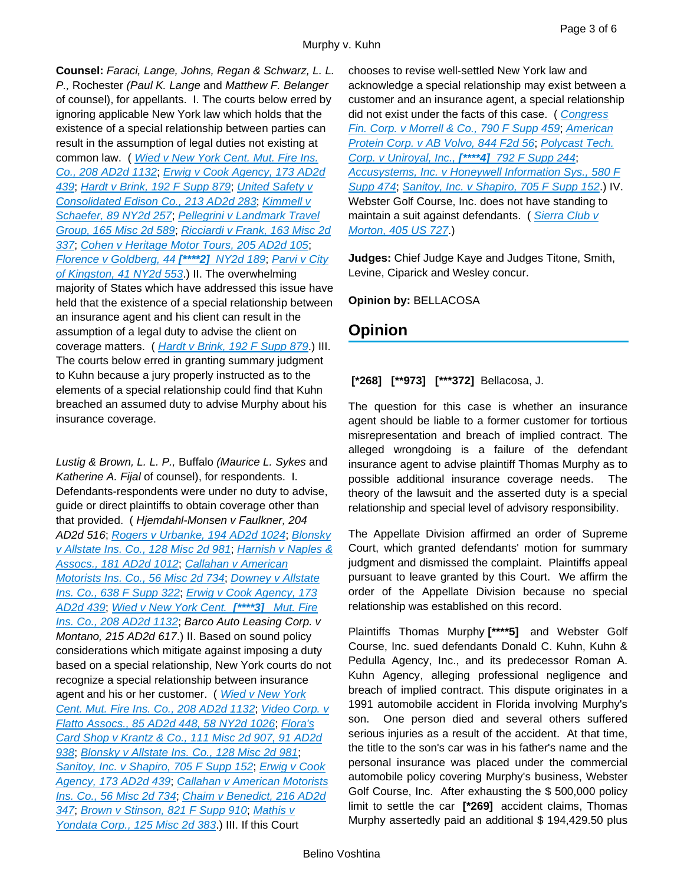**Counsel:** *Faraci, Lange, Johns, Regan & Schwarz, L. L. P.,* Rochester *(Paul K. Lange* and *Matthew F. Belanger* of counsel), for appellants. I. The courts below erred by ignoring applicable New York law which holds that the existence of a special relationship between parties can result in the assumption of legal duties not existing at common law. ( *[Wied v New York Cent. Mut. Fire Ins.](https://advance.lexis.com/api/document?collection=cases&id=urn:contentItem:3S2R-6MC0-003V-B1DT-00000-00&context=1000516)  [Co.,](https://advance.lexis.com/api/document?collection=cases&id=urn:contentItem:3S2R-6MC0-003V-B1DT-00000-00&context=1000516) [208 AD2d 1132](https://advance.lexis.com/api/document?collection=cases&id=urn:contentItem:3S2R-6MC0-003V-B1DT-00000-00&context=1000516)*; *[Erwig v Cook Agency,](https://advance.lexis.com/api/document?collection=cases&id=urn:contentItem:3S2R-8KJ0-003V-B2R7-00000-00&context=1000516) [173 AD2d](https://advance.lexis.com/api/document?collection=cases&id=urn:contentItem:3S2R-8KJ0-003V-B2R7-00000-00&context=1000516)  [439](https://advance.lexis.com/api/document?collection=cases&id=urn:contentItem:3S2R-8KJ0-003V-B2R7-00000-00&context=1000516)*; *[Hardt v Brink,](https://advance.lexis.com/api/document?collection=cases&id=urn:contentItem:3S4V-K530-003B-21B7-00000-00&context=1000516) [192 F Supp 879](https://advance.lexis.com/api/document?collection=cases&id=urn:contentItem:3S4V-K530-003B-21B7-00000-00&context=1000516)*; *[United Safety v](https://advance.lexis.com/api/document?collection=cases&id=urn:contentItem:3S2R-6CG0-003V-B1F8-00000-00&context=1000516)  [Consolidated Edison Co.,](https://advance.lexis.com/api/document?collection=cases&id=urn:contentItem:3S2R-6CG0-003V-B1F8-00000-00&context=1000516) [213 AD2d 283](https://advance.lexis.com/api/document?collection=cases&id=urn:contentItem:3S2R-6CG0-003V-B1F8-00000-00&context=1000516)*; *[Kimmell v](https://advance.lexis.com/api/document?collection=cases&id=urn:contentItem:3S2R-5CK0-003V-B2BJ-00000-00&context=1000516)  [Schaefer,](https://advance.lexis.com/api/document?collection=cases&id=urn:contentItem:3S2R-5CK0-003V-B2BJ-00000-00&context=1000516) [89 NY2d 257](https://advance.lexis.com/api/document?collection=cases&id=urn:contentItem:3S2R-5CK0-003V-B2BJ-00000-00&context=1000516)*; *[Pellegrini v Landmark Travel](https://advance.lexis.com/api/document?collection=cases&id=urn:contentItem:3S2R-68P0-003V-B2D0-00000-00&context=1000516)  [Group,](https://advance.lexis.com/api/document?collection=cases&id=urn:contentItem:3S2R-68P0-003V-B2D0-00000-00&context=1000516) [165 Misc 2d 589](https://advance.lexis.com/api/document?collection=cases&id=urn:contentItem:3S2R-68P0-003V-B2D0-00000-00&context=1000516)*; *[Ricciardi v Frank,](https://advance.lexis.com/api/document?collection=cases&id=urn:contentItem:3S2R-6J80-003V-B3WH-00000-00&context=1000516) [163 Misc 2d](https://advance.lexis.com/api/document?collection=cases&id=urn:contentItem:3S2R-6J80-003V-B3WH-00000-00&context=1000516)  [337](https://advance.lexis.com/api/document?collection=cases&id=urn:contentItem:3S2R-6J80-003V-B3WH-00000-00&context=1000516)*; *[Cohen v Heritage Motor Tours,](https://advance.lexis.com/api/document?collection=cases&id=urn:contentItem:3S2R-6MK0-003V-B1R2-00000-00&context=1000516) [205 AD2d 105](https://advance.lexis.com/api/document?collection=cases&id=urn:contentItem:3S2R-6MK0-003V-B1R2-00000-00&context=1000516)*; *[Florence v Goldberg,](https://advance.lexis.com/api/document?collection=cases&id=urn:contentItem:3RRS-B2H0-003C-F3M8-00000-00&context=1000516) [44](https://advance.lexis.com/api/document?collection=cases&id=urn:contentItem:3RRS-B2H0-003C-F3M8-00000-00&context=1000516) [\[\\*\\*\\*\\*2\]](https://advance.lexis.com/api/document?collection=cases&id=urn:contentItem:3RRS-B2H0-003C-F3M8-00000-00&context=1000516) [NY2d 189](https://advance.lexis.com/api/document?collection=cases&id=urn:contentItem:3RRS-B2H0-003C-F3M8-00000-00&context=1000516)*; *[Parvi v City](https://advance.lexis.com/api/document?collection=cases&id=urn:contentItem:3RRS-B560-003C-F4M2-00000-00&context=1000516)  [of Kingston,](https://advance.lexis.com/api/document?collection=cases&id=urn:contentItem:3RRS-B560-003C-F4M2-00000-00&context=1000516) [41 NY2d 553](https://advance.lexis.com/api/document?collection=cases&id=urn:contentItem:3RRS-B560-003C-F4M2-00000-00&context=1000516)*.) II. The overwhelming majority of States which have addressed this issue have held that the existence of a special relationship between an insurance agent and his client can result in the assumption of a legal duty to advise the client on coverage matters. ( *[Hardt v Brink,](https://advance.lexis.com/api/document?collection=cases&id=urn:contentItem:3S4V-K530-003B-21B7-00000-00&context=1000516) [192 F Supp 879](https://advance.lexis.com/api/document?collection=cases&id=urn:contentItem:3S4V-K530-003B-21B7-00000-00&context=1000516)*.) III. The courts below erred in granting summary judgment to Kuhn because a jury properly instructed as to the elements of a special relationship could find that Kuhn breached an assumed duty to advise Murphy about his insurance coverage.

*Lustig & Brown, L. L. P.,* Buffalo *(Maurice L. Sykes* and *Katherine A. Fijal* of counsel), for respondents. I. Defendants-respondents were under no duty to advise, guide or direct plaintiffs to obtain coverage other than that provided. ( *Hjemdahl-Monsen v Faulkner, 204 AD2d 516*; *[Rogers v Urbanke,](https://advance.lexis.com/api/document?collection=cases&id=urn:contentItem:3S2R-7D20-003V-B3PJ-00000-00&context=1000516) [194 AD2d 1024](https://advance.lexis.com/api/document?collection=cases&id=urn:contentItem:3S2R-7D20-003V-B3PJ-00000-00&context=1000516)*; *[Blonsky](https://advance.lexis.com/api/document?collection=cases&id=urn:contentItem:3S3K-2W10-003D-G0N9-00000-00&context=1000516)  [v Allstate Ins. Co.,](https://advance.lexis.com/api/document?collection=cases&id=urn:contentItem:3S3K-2W10-003D-G0N9-00000-00&context=1000516) [128 Misc 2d 981](https://advance.lexis.com/api/document?collection=cases&id=urn:contentItem:3S3K-2W10-003D-G0N9-00000-00&context=1000516)*; *[Harnish v Naples &](https://advance.lexis.com/api/document?collection=cases&id=urn:contentItem:3S2R-82W0-003V-B1CD-00000-00&context=1000516)  [Assocs.,](https://advance.lexis.com/api/document?collection=cases&id=urn:contentItem:3S2R-82W0-003V-B1CD-00000-00&context=1000516) [181 AD2d 1012](https://advance.lexis.com/api/document?collection=cases&id=urn:contentItem:3S2R-82W0-003V-B1CD-00000-00&context=1000516)*; *[Callahan v American](https://advance.lexis.com/api/document?collection=cases&id=urn:contentItem:3RRS-BD80-003C-D3T1-00000-00&context=1000516)  [Motorists Ins. Co.,](https://advance.lexis.com/api/document?collection=cases&id=urn:contentItem:3RRS-BD80-003C-D3T1-00000-00&context=1000516) [56 Misc 2d 734](https://advance.lexis.com/api/document?collection=cases&id=urn:contentItem:3RRS-BD80-003C-D3T1-00000-00&context=1000516)*; *[Downey v Allstate](https://advance.lexis.com/api/document?collection=cases&id=urn:contentItem:3S4N-8XY0-0039-R3KK-00000-00&context=1000516)  [Ins. Co.,](https://advance.lexis.com/api/document?collection=cases&id=urn:contentItem:3S4N-8XY0-0039-R3KK-00000-00&context=1000516) [638 F Supp 322](https://advance.lexis.com/api/document?collection=cases&id=urn:contentItem:3S4N-8XY0-0039-R3KK-00000-00&context=1000516)*; *[Erwig v Cook Agency,](https://advance.lexis.com/api/document?collection=cases&id=urn:contentItem:3S2R-8KJ0-003V-B2R7-00000-00&context=1000516) [173](https://advance.lexis.com/api/document?collection=cases&id=urn:contentItem:3S2R-8KJ0-003V-B2R7-00000-00&context=1000516)  [AD2d 439](https://advance.lexis.com/api/document?collection=cases&id=urn:contentItem:3S2R-8KJ0-003V-B2R7-00000-00&context=1000516)*; *[Wied v New York Cent.](https://advance.lexis.com/api/document?collection=cases&id=urn:contentItem:3S2R-6MC0-003V-B1DT-00000-00&context=1000516) [\[\\*\\*\\*\\*3\]](https://advance.lexis.com/api/document?collection=cases&id=urn:contentItem:3S2R-6MC0-003V-B1DT-00000-00&context=1000516) [Mut. Fire](https://advance.lexis.com/api/document?collection=cases&id=urn:contentItem:3S2R-6MC0-003V-B1DT-00000-00&context=1000516)  [Ins. Co.,](https://advance.lexis.com/api/document?collection=cases&id=urn:contentItem:3S2R-6MC0-003V-B1DT-00000-00&context=1000516) [208 AD2d 1132](https://advance.lexis.com/api/document?collection=cases&id=urn:contentItem:3S2R-6MC0-003V-B1DT-00000-00&context=1000516)*; *Barco Auto Leasing Corp. v Montano, 215 AD2d 617*.) II. Based on sound policy considerations which mitigate against imposing a duty based on a special relationship, New York courts do not recognize a special relationship between insurance agent and his or her customer. ( *[Wied v New York](https://advance.lexis.com/api/document?collection=cases&id=urn:contentItem:3S2R-6MC0-003V-B1DT-00000-00&context=1000516)  [Cent. Mut. Fire Ins. Co.,](https://advance.lexis.com/api/document?collection=cases&id=urn:contentItem:3S2R-6MC0-003V-B1DT-00000-00&context=1000516) [208 AD2d 1132](https://advance.lexis.com/api/document?collection=cases&id=urn:contentItem:3S2R-6MC0-003V-B1DT-00000-00&context=1000516)*; *[Video Corp. v](https://advance.lexis.com/api/document?collection=cases&id=urn:contentItem:3S3K-2CB0-003D-G2DR-00000-00&context=1000516)  [Flatto Assocs.,](https://advance.lexis.com/api/document?collection=cases&id=urn:contentItem:3S3K-2CB0-003D-G2DR-00000-00&context=1000516) [85 AD2d 448, 58 NY2d 1026](https://advance.lexis.com/api/document?collection=cases&id=urn:contentItem:3S3K-2CB0-003D-G2DR-00000-00&context=1000516)*; *[Flora's](https://advance.lexis.com/api/document?collection=cases&id=urn:contentItem:3S3K-35K0-003D-G4TG-00000-00&context=1000516)  [Card Shop v Krantz & Co.,](https://advance.lexis.com/api/document?collection=cases&id=urn:contentItem:3S3K-35K0-003D-G4TG-00000-00&context=1000516) [111 Misc 2d 907, 91 AD2d](https://advance.lexis.com/api/document?collection=cases&id=urn:contentItem:3S3K-35K0-003D-G4TG-00000-00&context=1000516)  [938](https://advance.lexis.com/api/document?collection=cases&id=urn:contentItem:3S3K-35K0-003D-G4TG-00000-00&context=1000516)*; *[Blonsky v Allstate Ins. Co.,](https://advance.lexis.com/api/document?collection=cases&id=urn:contentItem:3S3K-2W10-003D-G0N9-00000-00&context=1000516) [128 Misc 2d 981](https://advance.lexis.com/api/document?collection=cases&id=urn:contentItem:3S3K-2W10-003D-G0N9-00000-00&context=1000516)*; *[Sanitoy, Inc. v Shapiro,](https://advance.lexis.com/api/document?collection=cases&id=urn:contentItem:3S4N-D3J0-0054-44GC-00000-00&context=1000516) [705 F Supp 152](https://advance.lexis.com/api/document?collection=cases&id=urn:contentItem:3S4N-D3J0-0054-44GC-00000-00&context=1000516)*; *[Erwig v Cook](https://advance.lexis.com/api/document?collection=cases&id=urn:contentItem:3S2R-8KJ0-003V-B2R7-00000-00&context=1000516)  [Agency,](https://advance.lexis.com/api/document?collection=cases&id=urn:contentItem:3S2R-8KJ0-003V-B2R7-00000-00&context=1000516) [173 AD2d 439](https://advance.lexis.com/api/document?collection=cases&id=urn:contentItem:3S2R-8KJ0-003V-B2R7-00000-00&context=1000516)*; *[Callahan v American Motorists](https://advance.lexis.com/api/document?collection=cases&id=urn:contentItem:3RRS-BD80-003C-D3T1-00000-00&context=1000516)  [Ins. Co.,](https://advance.lexis.com/api/document?collection=cases&id=urn:contentItem:3RRS-BD80-003C-D3T1-00000-00&context=1000516) [56 Misc 2d 734](https://advance.lexis.com/api/document?collection=cases&id=urn:contentItem:3RRS-BD80-003C-D3T1-00000-00&context=1000516)*; *[Chaim v Benedict,](https://advance.lexis.com/api/document?collection=cases&id=urn:contentItem:3S2R-67J0-003V-B0JG-00000-00&context=1000516) [216 AD2d](https://advance.lexis.com/api/document?collection=cases&id=urn:contentItem:3S2R-67J0-003V-B0JG-00000-00&context=1000516)  [347](https://advance.lexis.com/api/document?collection=cases&id=urn:contentItem:3S2R-67J0-003V-B0JG-00000-00&context=1000516)*; *[Brown v Stinson,](https://advance.lexis.com/api/document?collection=cases&id=urn:contentItem:3S4N-NCM0-001T-654T-00000-00&context=1000516) [821 F Supp 910](https://advance.lexis.com/api/document?collection=cases&id=urn:contentItem:3S4N-NCM0-001T-654T-00000-00&context=1000516)*; *[Mathis v](https://advance.lexis.com/api/document?collection=cases&id=urn:contentItem:3RXW-SWK0-003D-G01D-00000-00&context=1000516)  [Yondata Corp.,](https://advance.lexis.com/api/document?collection=cases&id=urn:contentItem:3RXW-SWK0-003D-G01D-00000-00&context=1000516) [125 Misc 2d 383](https://advance.lexis.com/api/document?collection=cases&id=urn:contentItem:3RXW-SWK0-003D-G01D-00000-00&context=1000516)*.) III. If this Court

chooses to revise well-settled New York law and acknowledge a special relationship may exist between a customer and an insurance agent, a special relationship did not exist under the facts of this case. ( *[Congress](https://advance.lexis.com/api/document?collection=cases&id=urn:contentItem:3S4N-MB70-008H-F3P4-00000-00&context=1000516)  [Fin. Corp. v Morrell & Co.,](https://advance.lexis.com/api/document?collection=cases&id=urn:contentItem:3S4N-MB70-008H-F3P4-00000-00&context=1000516) [790 F Supp 459](https://advance.lexis.com/api/document?collection=cases&id=urn:contentItem:3S4N-MB70-008H-F3P4-00000-00&context=1000516)*; *[American](https://advance.lexis.com/api/document?collection=cases&id=urn:contentItem:3S4X-1J70-001B-K17H-00000-00&context=1000516)  [Protein Corp. v AB Volvo,](https://advance.lexis.com/api/document?collection=cases&id=urn:contentItem:3S4X-1J70-001B-K17H-00000-00&context=1000516) [844 F2d 56](https://advance.lexis.com/api/document?collection=cases&id=urn:contentItem:3S4X-1J70-001B-K17H-00000-00&context=1000516)*; *[Polycast Tech.](https://advance.lexis.com/api/document?collection=cases&id=urn:contentItem:3S4N-M190-008H-F2J6-00000-00&context=1000516)  [Corp. v Uniroyal, Inc.,](https://advance.lexis.com/api/document?collection=cases&id=urn:contentItem:3S4N-M190-008H-F2J6-00000-00&context=1000516) [\[\\*\\*\\*\\*4\]](https://advance.lexis.com/api/document?collection=cases&id=urn:contentItem:3S4N-M190-008H-F2J6-00000-00&context=1000516) [792 F Supp 244](https://advance.lexis.com/api/document?collection=cases&id=urn:contentItem:3S4N-M190-008H-F2J6-00000-00&context=1000516)*; *[Accusystems, Inc. v Honeywell Information Sys.,](https://advance.lexis.com/api/document?collection=cases&id=urn:contentItem:3RVB-KSV0-0054-5079-00000-00&context=1000516) [580 F](https://advance.lexis.com/api/document?collection=cases&id=urn:contentItem:3RVB-KSV0-0054-5079-00000-00&context=1000516)  [Supp 474](https://advance.lexis.com/api/document?collection=cases&id=urn:contentItem:3RVB-KSV0-0054-5079-00000-00&context=1000516)*; *[Sanitoy, Inc. v Shapiro,](https://advance.lexis.com/api/document?collection=cases&id=urn:contentItem:3S4N-D3J0-0054-44GC-00000-00&context=1000516) [705 F Supp 152](https://advance.lexis.com/api/document?collection=cases&id=urn:contentItem:3S4N-D3J0-0054-44GC-00000-00&context=1000516)*.) IV. Webster Golf Course, Inc. does not have standing to maintain a suit against defendants. ( *[Sierra Club v](https://advance.lexis.com/api/document?collection=cases&id=urn:contentItem:3S4X-D8W0-003B-S3HH-00000-00&context=1000516)  [Morton,](https://advance.lexis.com/api/document?collection=cases&id=urn:contentItem:3S4X-D8W0-003B-S3HH-00000-00&context=1000516) [405 US 727](https://advance.lexis.com/api/document?collection=cases&id=urn:contentItem:3S4X-D8W0-003B-S3HH-00000-00&context=1000516)*.)

**Judges:** Chief Judge Kaye and Judges Titone, Smith, Levine, Ciparick and Wesley concur.

**Opinion by:** BELLACOSA

# **Opinion**

## **[\*268] [\*\*973] [\*\*\*372]** Bellacosa, J.

The question for this case is whether an insurance agent should be liable to a former customer for tortious misrepresentation and breach of implied contract. The alleged wrongdoing is a failure of the defendant insurance agent to advise plaintiff Thomas Murphy as to possible additional insurance coverage needs. The theory of the lawsuit and the asserted duty is a special relationship and special level of advisory responsibility.

The Appellate Division affirmed an order of Supreme Court, which granted defendants' motion for summary judgment and dismissed the complaint. Plaintiffs appeal pursuant to leave granted by this Court. We affirm the order of the Appellate Division because no special relationship was established on this record.

Plaintiffs Thomas Murphy **[\*\*\*\*5]** and Webster Golf Course, Inc. sued defendants Donald C. Kuhn, Kuhn & Pedulla Agency, Inc., and its predecessor Roman A. Kuhn Agency, alleging professional negligence and breach of implied contract. This dispute originates in a 1991 automobile accident in Florida involving Murphy's son. One person died and several others suffered serious injuries as a result of the accident. At that time, the title to the son's car was in his father's name and the personal insurance was placed under the commercial automobile policy covering Murphy's business, Webster Golf Course, Inc. After exhausting the \$ 500,000 policy limit to settle the car **[\*269]** accident claims, Thomas Murphy assertedly paid an additional \$ 194,429.50 plus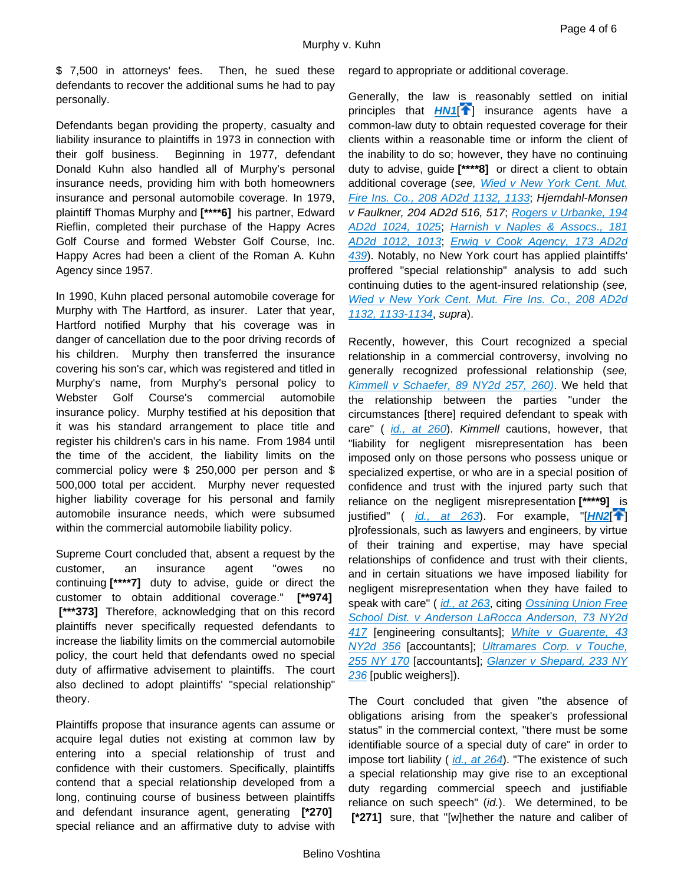\$ 7,500 in attorneys' fees. Then, he sued these defendants to recover the additional sums he had to pay personally.

Defendants began providing the property, casualty and liability insurance to plaintiffs in 1973 in connection with their golf business. Beginning in 1977, defendant Donald Kuhn also handled all of Murphy's personal insurance needs, providing him with both homeowners insurance and personal automobile coverage. In 1979, plaintiff Thomas Murphy and **[\*\*\*\*6]** his partner, Edward Rieflin, completed their purchase of the Happy Acres Golf Course and formed Webster Golf Course, Inc. Happy Acres had been a client of the Roman A. Kuhn Agency since 1957.

In 1990, Kuhn placed personal automobile coverage for Murphy with The Hartford, as insurer. Later that year, Hartford notified Murphy that his coverage was in danger of cancellation due to the poor driving records of his children. Murphy then transferred the insurance covering his son's car, which was registered and titled in Murphy's name, from Murphy's personal policy to Webster Golf Course's commercial automobile insurance policy. Murphy testified at his deposition that it was his standard arrangement to place title and register his children's cars in his name. From 1984 until the time of the accident, the liability limits on the commercial policy were \$ 250,000 per person and \$ 500,000 total per accident. Murphy never requested higher liability coverage for his personal and family automobile insurance needs, which were subsumed within the commercial automobile liability policy.

Supreme Court concluded that, absent a request by the customer, an insurance agent "owes no continuing **[\*\*\*\*7]** duty to advise, guide or direct the customer to obtain additional coverage." **[\*\*974] [\*\*\*373]** Therefore, acknowledging that on this record plaintiffs never specifically requested defendants to increase the liability limits on the commercial automobile policy, the court held that defendants owed no special duty of affirmative advisement to plaintiffs. The court also declined to adopt plaintiffs' "special relationship" theory.

Plaintiffs propose that insurance agents can assume or acquire legal duties not existing at common law by entering into a special relationship of trust and confidence with their customers. Specifically, plaintiffs contend that a special relationship developed from a long, continuing course of business between plaintiffs and defendant insurance agent, generating **[\*270]** special reliance and an affirmative duty to advise with

regard to appropriate or additional coverage.

<span id="page-3-0"></span>Generally, the law is reasonably settled on initial principles that **[HN1](https://advance.lexis.com/api/document?collection=cases&id=urn:contentItem:3RN8-0B50-003V-B4J1-00000-00&context=1000516&link=clscc1)<sup>[4</sup>[\]](#page-0-0)** insurance agents have a common-law duty to obtain requested coverage for their clients within a reasonable time or inform the client of the inability to do so; however, they have no continuing duty to advise, guide **[\*\*\*\*8]** or direct a client to obtain additional coverage (*see, [Wied v New York Cent. Mut.](https://advance.lexis.com/api/document?collection=cases&id=urn:contentItem:3S2R-6MC0-003V-B1DT-00000-00&context=1000516)  [Fire Ins. Co.,](https://advance.lexis.com/api/document?collection=cases&id=urn:contentItem:3S2R-6MC0-003V-B1DT-00000-00&context=1000516) [208 AD2d 1132, 1133](https://advance.lexis.com/api/document?collection=cases&id=urn:contentItem:3S2R-6MC0-003V-B1DT-00000-00&context=1000516)*; *Hjemdahl-Monsen v Faulkner, 204 AD2d 516, 517*; *[Rogers v Urbanke,](https://advance.lexis.com/api/document?collection=cases&id=urn:contentItem:3S2R-7D20-003V-B3PJ-00000-00&context=1000516) [194](https://advance.lexis.com/api/document?collection=cases&id=urn:contentItem:3S2R-7D20-003V-B3PJ-00000-00&context=1000516)  [AD2d 1024, 1025](https://advance.lexis.com/api/document?collection=cases&id=urn:contentItem:3S2R-7D20-003V-B3PJ-00000-00&context=1000516)*; *[Harnish v Naples & Assocs.,](https://advance.lexis.com/api/document?collection=cases&id=urn:contentItem:3S2R-82W0-003V-B1CD-00000-00&context=1000516) [181](https://advance.lexis.com/api/document?collection=cases&id=urn:contentItem:3S2R-82W0-003V-B1CD-00000-00&context=1000516)  [AD2d 1012, 1013](https://advance.lexis.com/api/document?collection=cases&id=urn:contentItem:3S2R-82W0-003V-B1CD-00000-00&context=1000516)*; *[Erwig v Cook Agency,](https://advance.lexis.com/api/document?collection=cases&id=urn:contentItem:3S2R-8KJ0-003V-B2R7-00000-00&context=1000516) [173 AD2d](https://advance.lexis.com/api/document?collection=cases&id=urn:contentItem:3S2R-8KJ0-003V-B2R7-00000-00&context=1000516)  [439](https://advance.lexis.com/api/document?collection=cases&id=urn:contentItem:3S2R-8KJ0-003V-B2R7-00000-00&context=1000516)*). Notably, no New York court has applied plaintiffs' proffered "special relationship" analysis to add such continuing duties to the agent-insured relationship (*see, [Wied v New York Cent. Mut. Fire Ins. Co.,](https://advance.lexis.com/api/document?collection=cases&id=urn:contentItem:3S2R-6MC0-003V-B1DT-00000-00&context=1000516) [208 AD2d](https://advance.lexis.com/api/document?collection=cases&id=urn:contentItem:3S2R-6MC0-003V-B1DT-00000-00&context=1000516)  [1132, 1133-1134](https://advance.lexis.com/api/document?collection=cases&id=urn:contentItem:3S2R-6MC0-003V-B1DT-00000-00&context=1000516)*, *supra*).

<span id="page-3-1"></span>Recently, however, this Court recognized a special relationship in a commercial controversy, involving no generally recognized professional relationship (*see, [Kimmell v Schaefer,](https://advance.lexis.com/api/document?collection=cases&id=urn:contentItem:3S2R-5CK0-003V-B2BJ-00000-00&context=1000516) [89 NY2d 257, 260\)](https://advance.lexis.com/api/document?collection=cases&id=urn:contentItem:3S2R-5CK0-003V-B2BJ-00000-00&context=1000516)*. We held that the relationship between the parties "under the circumstances [there] required defendant to speak with care" ( *[id.,](https://advance.lexis.com/api/document?collection=cases&id=urn:contentItem:3S2R-5CK0-003V-B2BJ-00000-00&context=1000516) [at 260](https://advance.lexis.com/api/document?collection=cases&id=urn:contentItem:3S2R-5CK0-003V-B2BJ-00000-00&context=1000516)*). *Kimmell* cautions, however, that "liability for negligent misrepresentation has been imposed only on those persons who possess unique or specialized expertise, or who are in a special position of confidence and trust with the injured party such that reliance on the negligent misrepresentation **[\*\*\*\*9]** is justified" ( *[id.,](https://advance.lexis.com/api/document?collection=cases&id=urn:contentItem:3S2R-5CK0-003V-B2BJ-00000-00&context=1000516) [at 263](https://advance.lexis.com/api/document?collection=cases&id=urn:contentItem:3S2R-5CK0-003V-B2BJ-00000-00&context=1000516)*). For example, "[\[](#page-0-1)*[HN2](https://advance.lexis.com/api/document?collection=cases&id=urn:contentItem:3RN8-0B50-003V-B4J1-00000-00&context=1000516&link=clscc2)*]<sup><sup>\*</sup>]</sup> p]rofessionals, such as lawyers and engineers, by virtue of their training and expertise, may have special relationships of confidence and trust with their clients, and in certain situations we have imposed liability for negligent misrepresentation when they have failed to speak with care" ( *[id.,](https://advance.lexis.com/api/document?collection=cases&id=urn:contentItem:3S2R-5CK0-003V-B2BJ-00000-00&context=1000516) [at 263](https://advance.lexis.com/api/document?collection=cases&id=urn:contentItem:3S2R-5CK0-003V-B2BJ-00000-00&context=1000516)*, citing *[Ossining Union Free](https://advance.lexis.com/api/document?collection=cases&id=urn:contentItem:3S2R-B820-003V-B08P-00000-00&context=1000516)  [School Dist. v Anderson LaRocca Anderson,](https://advance.lexis.com/api/document?collection=cases&id=urn:contentItem:3S2R-B820-003V-B08P-00000-00&context=1000516) [73 NY2d](https://advance.lexis.com/api/document?collection=cases&id=urn:contentItem:3S2R-B820-003V-B08P-00000-00&context=1000516)  [417](https://advance.lexis.com/api/document?collection=cases&id=urn:contentItem:3S2R-B820-003V-B08P-00000-00&context=1000516)* [engineering consultants]; *[White v Guarente,](https://advance.lexis.com/api/document?collection=cases&id=urn:contentItem:3RRS-B330-003C-F3VD-00000-00&context=1000516) [43](https://advance.lexis.com/api/document?collection=cases&id=urn:contentItem:3RRS-B330-003C-F3VD-00000-00&context=1000516)  [NY2d 356](https://advance.lexis.com/api/document?collection=cases&id=urn:contentItem:3RRS-B330-003C-F3VD-00000-00&context=1000516)* [accountants]; *[Ultramares Corp. v Touche,](https://advance.lexis.com/api/document?collection=cases&id=urn:contentItem:3RRM-S3J0-003F-63T9-00000-00&context=1000516) [255 NY 170](https://advance.lexis.com/api/document?collection=cases&id=urn:contentItem:3RRM-S3J0-003F-63T9-00000-00&context=1000516)* [accountants]; *[Glanzer v Shepard,](https://advance.lexis.com/api/document?collection=cases&id=urn:contentItem:3RRM-T200-003F-653K-00000-00&context=1000516) [233 NY](https://advance.lexis.com/api/document?collection=cases&id=urn:contentItem:3RRM-T200-003F-653K-00000-00&context=1000516)  [236](https://advance.lexis.com/api/document?collection=cases&id=urn:contentItem:3RRM-T200-003F-653K-00000-00&context=1000516)* [public weighers]).

The Court concluded that given "the absence of obligations arising from the speaker's professional status" in the commercial context, "there must be some identifiable source of a special duty of care" in order to impose tort liability ( *[id.,](https://advance.lexis.com/api/document?collection=cases&id=urn:contentItem:3RRM-T200-003F-653K-00000-00&context=1000516) [at 264](https://advance.lexis.com/api/document?collection=cases&id=urn:contentItem:3RRM-T200-003F-653K-00000-00&context=1000516)*). "The existence of such a special relationship may give rise to an exceptional duty regarding commercial speech and justifiable reliance on such speech" (*id.*). We determined, to be **[\*271]** sure, that "[w]hether the nature and caliber of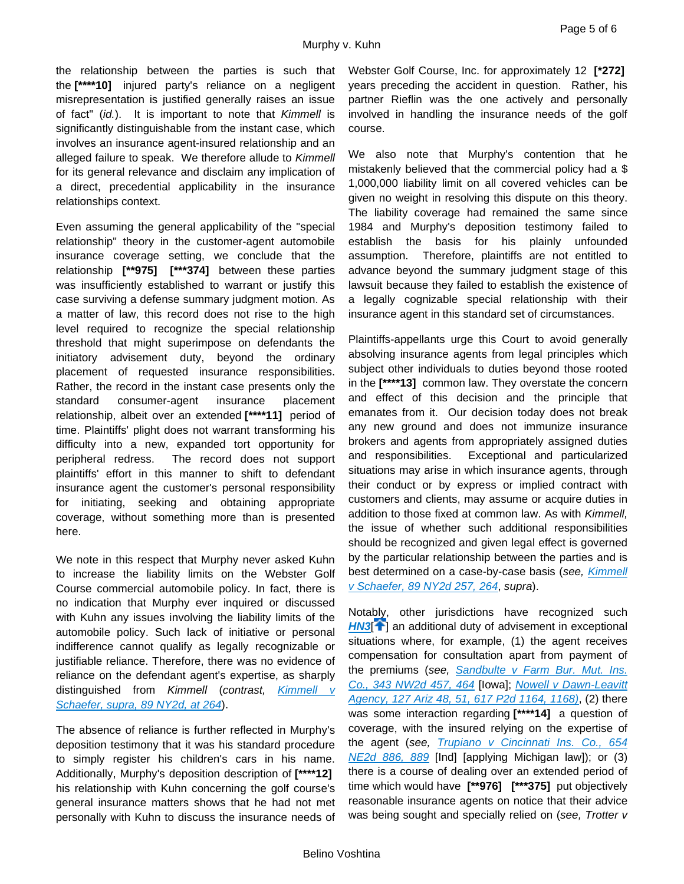the relationship between the parties is such that the **[\*\*\*\*10]** injured party's reliance on a negligent misrepresentation is justified generally raises an issue of fact" (*id.*). It is important to note that *Kimmell* is significantly distinguishable from the instant case, which involves an insurance agent-insured relationship and an alleged failure to speak. We therefore allude to *Kimmell* for its general relevance and disclaim any implication of a direct, precedential applicability in the insurance relationships context.

Even assuming the general applicability of the "special relationship" theory in the customer-agent automobile insurance coverage setting, we conclude that the relationship **[\*\*975] [\*\*\*374]** between these parties was insufficiently established to warrant or justify this case surviving a defense summary judgment motion. As a matter of law, this record does not rise to the high level required to recognize the special relationship threshold that might superimpose on defendants the initiatory advisement duty, beyond the ordinary placement of requested insurance responsibilities. Rather, the record in the instant case presents only the standard consumer-agent insurance placement relationship, albeit over an extended **[\*\*\*\*11]** period of time. Plaintiffs' plight does not warrant transforming his difficulty into a new, expanded tort opportunity for peripheral redress. The record does not support plaintiffs' effort in this manner to shift to defendant insurance agent the customer's personal responsibility for initiating, seeking and obtaining appropriate coverage, without something more than is presented here.

We note in this respect that Murphy never asked Kuhn to increase the liability limits on the Webster Golf Course commercial automobile policy. In fact, there is no indication that Murphy ever inquired or discussed with Kuhn any issues involving the liability limits of the automobile policy. Such lack of initiative or personal indifference cannot qualify as legally recognizable or justifiable reliance. Therefore, there was no evidence of reliance on the defendant agent's expertise, as sharply distinguished from *Kimmell* (*contrast, [Kimmell v](https://advance.lexis.com/api/document?collection=cases&id=urn:contentItem:3S2R-5CK0-003V-B2BJ-00000-00&context=1000516)  [Schaefer, supra,](https://advance.lexis.com/api/document?collection=cases&id=urn:contentItem:3S2R-5CK0-003V-B2BJ-00000-00&context=1000516) [89 NY2d, at 264](https://advance.lexis.com/api/document?collection=cases&id=urn:contentItem:3S2R-5CK0-003V-B2BJ-00000-00&context=1000516)*).

The absence of reliance is further reflected in Murphy's deposition testimony that it was his standard procedure to simply register his children's cars in his name. Additionally, Murphy's deposition description of **[\*\*\*\*12]** his relationship with Kuhn concerning the golf course's general insurance matters shows that he had not met personally with Kuhn to discuss the insurance needs of Webster Golf Course, Inc. for approximately 12 **[\*272]** years preceding the accident in question. Rather, his partner Rieflin was the one actively and personally involved in handling the insurance needs of the golf course.

We also note that Murphy's contention that he mistakenly believed that the commercial policy had a \$ 1,000,000 liability limit on all covered vehicles can be given no weight in resolving this dispute on this theory. The liability coverage had remained the same since 1984 and Murphy's deposition testimony failed to establish the basis for his plainly unfounded assumption. Therefore, plaintiffs are not entitled to advance beyond the summary judgment stage of this lawsuit because they failed to establish the existence of a legally cognizable special relationship with their insurance agent in this standard set of circumstances.

Plaintiffs-appellants urge this Court to avoid generally absolving insurance agents from legal principles which subject other individuals to duties beyond those rooted in the **[\*\*\*\*13]** common law. They overstate the concern and effect of this decision and the principle that emanates from it. Our decision today does not break any new ground and does not immunize insurance brokers and agents from appropriately assigned duties and responsibilities. Exceptional and particularized situations may arise in which insurance agents, through their conduct or by express or implied contract with customers and clients, may assume or acquire duties in addition to those fixed at common law. As with *Kimmell,* the issue of whether such additional responsibilities should be recognized and given legal effect is governed by the particular relationship between the parties and is best determined on a case-by-case basis (*see, [Kimmell](https://advance.lexis.com/api/document?collection=cases&id=urn:contentItem:3S2R-5CK0-003V-B2BJ-00000-00&context=1000516)  [v Schaefer,](https://advance.lexis.com/api/document?collection=cases&id=urn:contentItem:3S2R-5CK0-003V-B2BJ-00000-00&context=1000516) [89 NY2d 257, 264](https://advance.lexis.com/api/document?collection=cases&id=urn:contentItem:3S2R-5CK0-003V-B2BJ-00000-00&context=1000516)*, *supra*).

<span id="page-4-0"></span>Notably, other jurisdictions have recognized such **[HN3](https://advance.lexis.com/api/document?collection=cases&id=urn:contentItem:3RN8-0B50-003V-B4J1-00000-00&context=1000516&link=clscc3)<sup>[4[\]](#page-1-0)</sup>** an additional duty of advisement in exceptional situations where, for example, (1) the agent receives compensation for consultation apart from payment of the premiums (*see, [Sandbulte v Farm Bur. Mut. Ins.](https://advance.lexis.com/api/document?collection=cases&id=urn:contentItem:3RX4-2MM0-003G-50R3-00000-00&context=1000516)  [Co.,](https://advance.lexis.com/api/document?collection=cases&id=urn:contentItem:3RX4-2MM0-003G-50R3-00000-00&context=1000516) [343 NW2d 457, 464](https://advance.lexis.com/api/document?collection=cases&id=urn:contentItem:3RX4-2MM0-003G-50R3-00000-00&context=1000516)* [Iowa]; *[Nowell v Dawn-Leavitt](https://advance.lexis.com/api/document?collection=cases&id=urn:contentItem:3RX3-YMJ0-003F-T0D2-00000-00&context=1000516)  [Agency,](https://advance.lexis.com/api/document?collection=cases&id=urn:contentItem:3RX3-YMJ0-003F-T0D2-00000-00&context=1000516) [127 Ariz 48, 51, 617 P2d 1164, 1168\)](https://advance.lexis.com/api/document?collection=cases&id=urn:contentItem:3RX3-YMJ0-003F-T0D2-00000-00&context=1000516)*, (2) there was some interaction regarding **[\*\*\*\*14]** a question of coverage, with the insured relying on the expertise of the agent (*see, [Trupiano v Cincinnati Ins. Co.,](https://advance.lexis.com/api/document?collection=cases&id=urn:contentItem:3RX4-69H0-003F-X45X-00000-00&context=1000516) [654](https://advance.lexis.com/api/document?collection=cases&id=urn:contentItem:3RX4-69H0-003F-X45X-00000-00&context=1000516)  [NE2d 886, 889](https://advance.lexis.com/api/document?collection=cases&id=urn:contentItem:3RX4-69H0-003F-X45X-00000-00&context=1000516)* [Ind] [applying Michigan law]); or (3) there is a course of dealing over an extended period of time which would have **[\*\*976] [\*\*\*375]** put objectively reasonable insurance agents on notice that their advice was being sought and specially relied on (*see, Trotter v*